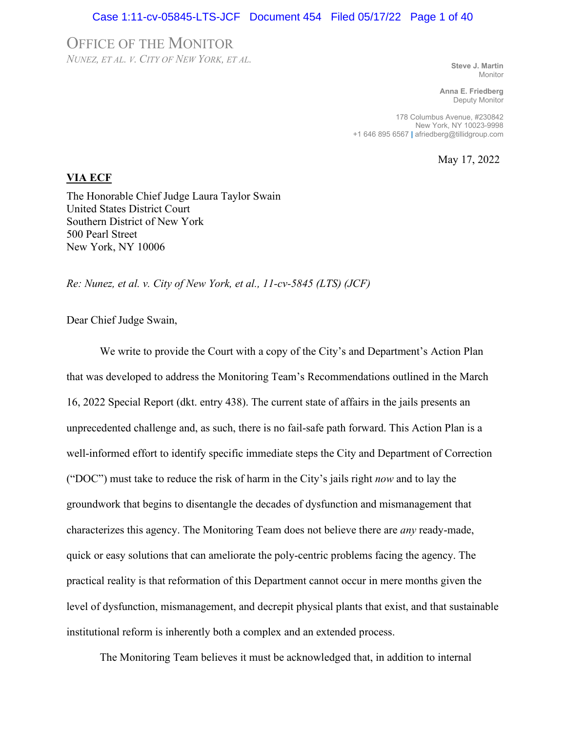### Case 1:11-cv-05845-LTS-JCF Document 454 Filed 05/17/22 Page 1 of 40

### OFFICE OF THE MONITOR

*NUNEZ, ET AL. V. CITY OF NEW YORK, ET AL.*

**Steve J. Martin** Monitor

**Anna E. Friedberg** Deputy Monitor

178 Columbus Avenue, #230842 New York, NY 10023-9998 +1 646 895 6567 **|** afriedberg@tillidgroup.com

May 17, 2022

### **VIA ECF**

The Honorable Chief Judge Laura Taylor Swain United States District Court Southern District of New York 500 Pearl Street New York, NY 10006

*Re: Nunez, et al. v. City of New York, et al., 11-cv-5845 (LTS) (JCF)* 

Dear Chief Judge Swain,

We write to provide the Court with a copy of the City's and Department's Action Plan that was developed to address the Monitoring Team's Recommendations outlined in the March 16, 2022 Special Report (dkt. entry 438). The current state of affairs in the jails presents an unprecedented challenge and, as such, there is no fail-safe path forward. This Action Plan is a well-informed effort to identify specific immediate steps the City and Department of Correction ("DOC") must take to reduce the risk of harm in the City's jails right *now* and to lay the groundwork that begins to disentangle the decades of dysfunction and mismanagement that characterizes this agency. The Monitoring Team does not believe there are *any* ready-made, quick or easy solutions that can ameliorate the poly-centric problems facing the agency. The practical reality is that reformation of this Department cannot occur in mere months given the level of dysfunction, mismanagement, and decrepit physical plants that exist, and that sustainable institutional reform is inherently both a complex and an extended process.

The Monitoring Team believes it must be acknowledged that, in addition to internal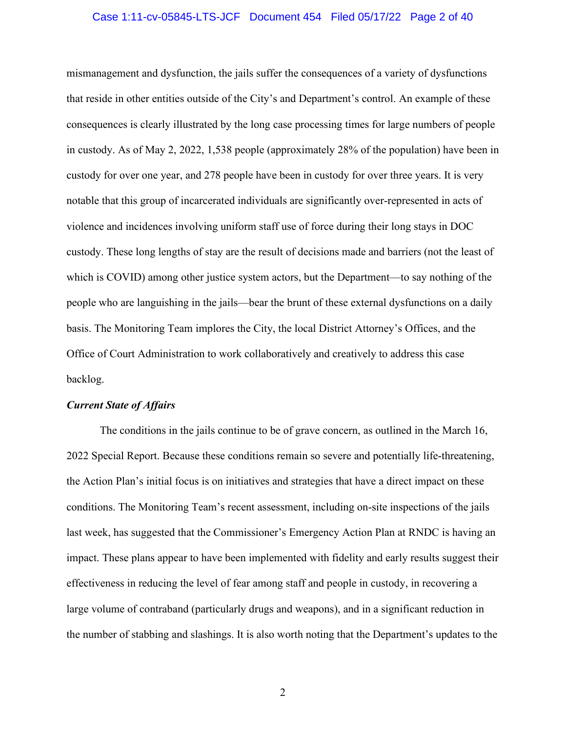### Case 1:11-cv-05845-LTS-JCF Document 454 Filed 05/17/22 Page 2 of 40

mismanagement and dysfunction, the jails suffer the consequences of a variety of dysfunctions that reside in other entities outside of the City's and Department's control. An example of these consequences is clearly illustrated by the long case processing times for large numbers of people in custody. As of May 2, 2022, 1,538 people (approximately 28% of the population) have been in custody for over one year, and 278 people have been in custody for over three years. It is very notable that this group of incarcerated individuals are significantly over-represented in acts of violence and incidences involving uniform staff use of force during their long stays in DOC custody. These long lengths of stay are the result of decisions made and barriers (not the least of which is COVID) among other justice system actors, but the Department—to say nothing of the people who are languishing in the jails—bear the brunt of these external dysfunctions on a daily basis. The Monitoring Team implores the City, the local District Attorney's Offices, and the Office of Court Administration to work collaboratively and creatively to address this case backlog.

### *Current State of Affairs*

The conditions in the jails continue to be of grave concern, as outlined in the March 16, 2022 Special Report. Because these conditions remain so severe and potentially life-threatening, the Action Plan's initial focus is on initiatives and strategies that have a direct impact on these conditions. The Monitoring Team's recent assessment, including on-site inspections of the jails last week, has suggested that the Commissioner's Emergency Action Plan at RNDC is having an impact. These plans appear to have been implemented with fidelity and early results suggest their effectiveness in reducing the level of fear among staff and people in custody, in recovering a large volume of contraband (particularly drugs and weapons), and in a significant reduction in the number of stabbing and slashings. It is also worth noting that the Department's updates to the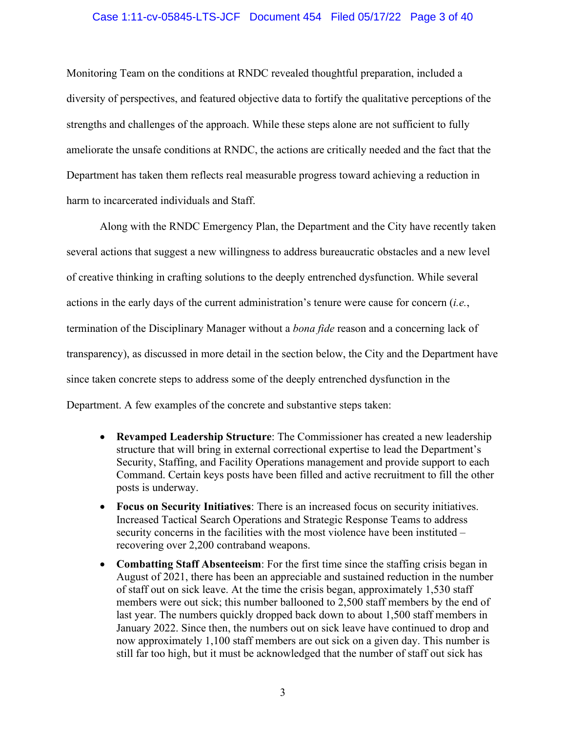### Case 1:11-cv-05845-LTS-JCF Document 454 Filed 05/17/22 Page 3 of 40

Monitoring Team on the conditions at RNDC revealed thoughtful preparation, included a diversity of perspectives, and featured objective data to fortify the qualitative perceptions of the strengths and challenges of the approach. While these steps alone are not sufficient to fully ameliorate the unsafe conditions at RNDC, the actions are critically needed and the fact that the Department has taken them reflects real measurable progress toward achieving a reduction in harm to incarcerated individuals and Staff.

Along with the RNDC Emergency Plan, the Department and the City have recently taken several actions that suggest a new willingness to address bureaucratic obstacles and a new level of creative thinking in crafting solutions to the deeply entrenched dysfunction. While several actions in the early days of the current administration's tenure were cause for concern (*i.e.*, termination of the Disciplinary Manager without a *bona fide* reason and a concerning lack of transparency), as discussed in more detail in the section below, the City and the Department have since taken concrete steps to address some of the deeply entrenched dysfunction in the Department. A few examples of the concrete and substantive steps taken:

- **Revamped Leadership Structure**: The Commissioner has created a new leadership structure that will bring in external correctional expertise to lead the Department's Security, Staffing, and Facility Operations management and provide support to each Command. Certain keys posts have been filled and active recruitment to fill the other posts is underway.
- **Focus on Security Initiatives**: There is an increased focus on security initiatives. Increased Tactical Search Operations and Strategic Response Teams to address security concerns in the facilities with the most violence have been instituted – recovering over 2,200 contraband weapons.
- **Combatting Staff Absenteeism**: For the first time since the staffing crisis began in August of 2021, there has been an appreciable and sustained reduction in the number of staff out on sick leave. At the time the crisis began, approximately 1,530 staff members were out sick; this number ballooned to 2,500 staff members by the end of last year. The numbers quickly dropped back down to about 1,500 staff members in January 2022. Since then, the numbers out on sick leave have continued to drop and now approximately 1,100 staff members are out sick on a given day. This number is still far too high, but it must be acknowledged that the number of staff out sick has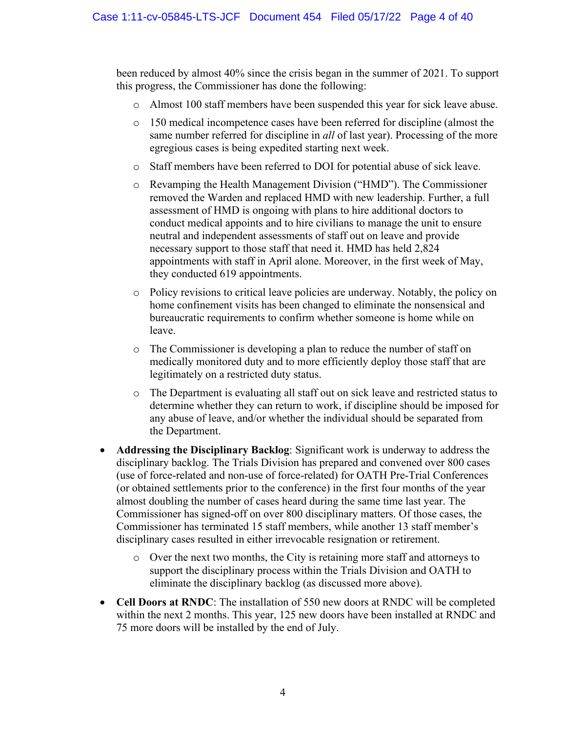been reduced by almost 40% since the crisis began in the summer of 2021. To support this progress, the Commissioner has done the following:

- Almost 100 staff members have been suspended this year for sick leave abuse.
- o 150 medical incompetence cases have been referred for discipline (almost the same number referred for discipline in *all* of last year). Processing of the more egregious cases is being expedited starting next week.
- o Staff members have been referred to DOI for potential abuse of sick leave.
- o Revamping the Health Management Division ("HMD"). The Commissioner removed the Warden and replaced HMD with new leadership. Further, a full assessment of HMD is ongoing with plans to hire additional doctors to conduct medical appoints and to hire civilians to manage the unit to ensure neutral and independent assessments of staff out on leave and provide necessary support to those staff that need it. HMD has held 2,824 appointments with staff in April alone. Moreover, in the first week of May, they conducted 619 appointments.
- o Policy revisions to critical leave policies are underway. Notably, the policy on home confinement visits has been changed to eliminate the nonsensical and bureaucratic requirements to confirm whether someone is home while on leave.
- o The Commissioner is developing a plan to reduce the number of staff on medically monitored duty and to more efficiently deploy those staff that are legitimately on a restricted duty status.
- o The Department is evaluating all staff out on sick leave and restricted status to determine whether they can return to work, if discipline should be imposed for any abuse of leave, and/or whether the individual should be separated from the Department.
- **Addressing the Disciplinary Backlog**: Significant work is underway to address the disciplinary backlog. The Trials Division has prepared and convened over 800 cases (use of force-related and non-use of force-related) for OATH Pre-Trial Conferences (or obtained settlements prior to the conference) in the first four months of the year almost doubling the number of cases heard during the same time last year. The Commissioner has signed-off on over 800 disciplinary matters. Of those cases, the Commissioner has terminated 15 staff members, while another 13 staff member's disciplinary cases resulted in either irrevocable resignation or retirement.
	- $\circ$  Over the next two months, the City is retaining more staff and attorneys to support the disciplinary process within the Trials Division and OATH to eliminate the disciplinary backlog (as discussed more above).
- **Cell Doors at RNDC**: The installation of 550 new doors at RNDC will be completed within the next 2 months. This year, 125 new doors have been installed at RNDC and 75 more doors will be installed by the end of July.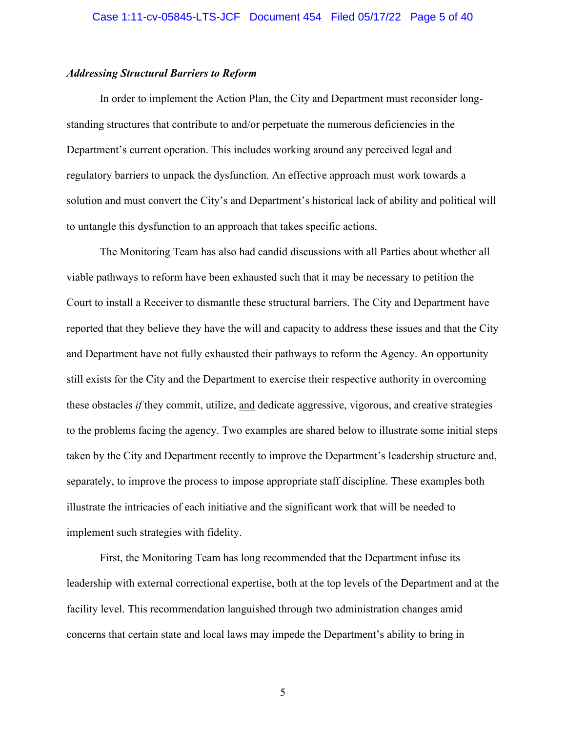### *Addressing Structural Barriers to Reform*

In order to implement the Action Plan, the City and Department must reconsider longstanding structures that contribute to and/or perpetuate the numerous deficiencies in the Department's current operation. This includes working around any perceived legal and regulatory barriers to unpack the dysfunction. An effective approach must work towards a solution and must convert the City's and Department's historical lack of ability and political will to untangle this dysfunction to an approach that takes specific actions.

The Monitoring Team has also had candid discussions with all Parties about whether all viable pathways to reform have been exhausted such that it may be necessary to petition the Court to install a Receiver to dismantle these structural barriers. The City and Department have reported that they believe they have the will and capacity to address these issues and that the City and Department have not fully exhausted their pathways to reform the Agency. An opportunity still exists for the City and the Department to exercise their respective authority in overcoming these obstacles *if* they commit, utilize, and dedicate aggressive, vigorous, and creative strategies to the problems facing the agency. Two examples are shared below to illustrate some initial steps taken by the City and Department recently to improve the Department's leadership structure and, separately, to improve the process to impose appropriate staff discipline. These examples both illustrate the intricacies of each initiative and the significant work that will be needed to implement such strategies with fidelity.

First, the Monitoring Team has long recommended that the Department infuse its leadership with external correctional expertise, both at the top levels of the Department and at the facility level. This recommendation languished through two administration changes amid concerns that certain state and local laws may impede the Department's ability to bring in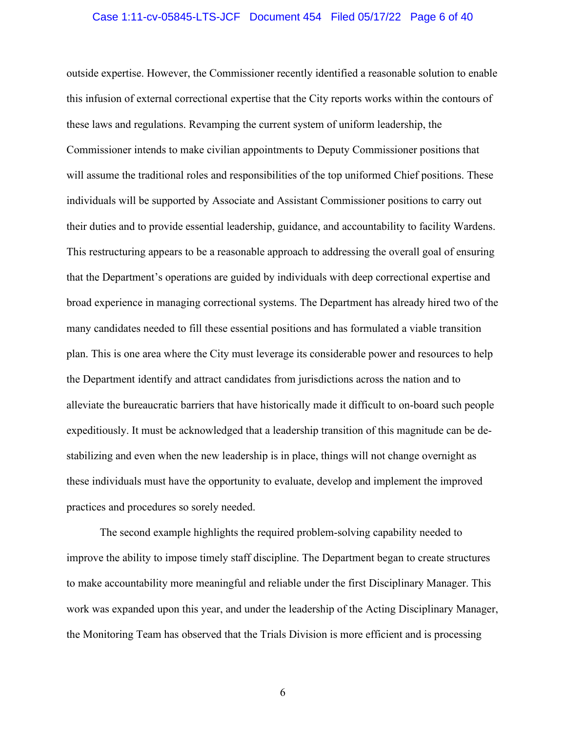### Case 1:11-cv-05845-LTS-JCF Document 454 Filed 05/17/22 Page 6 of 40

outside expertise. However, the Commissioner recently identified a reasonable solution to enable this infusion of external correctional expertise that the City reports works within the contours of these laws and regulations. Revamping the current system of uniform leadership, the Commissioner intends to make civilian appointments to Deputy Commissioner positions that will assume the traditional roles and responsibilities of the top uniformed Chief positions. These individuals will be supported by Associate and Assistant Commissioner positions to carry out their duties and to provide essential leadership, guidance, and accountability to facility Wardens. This restructuring appears to be a reasonable approach to addressing the overall goal of ensuring that the Department's operations are guided by individuals with deep correctional expertise and broad experience in managing correctional systems. The Department has already hired two of the many candidates needed to fill these essential positions and has formulated a viable transition plan. This is one area where the City must leverage its considerable power and resources to help the Department identify and attract candidates from jurisdictions across the nation and to alleviate the bureaucratic barriers that have historically made it difficult to on-board such people expeditiously. It must be acknowledged that a leadership transition of this magnitude can be destabilizing and even when the new leadership is in place, things will not change overnight as these individuals must have the opportunity to evaluate, develop and implement the improved practices and procedures so sorely needed.

The second example highlights the required problem-solving capability needed to improve the ability to impose timely staff discipline. The Department began to create structures to make accountability more meaningful and reliable under the first Disciplinary Manager. This work was expanded upon this year, and under the leadership of the Acting Disciplinary Manager, the Monitoring Team has observed that the Trials Division is more efficient and is processing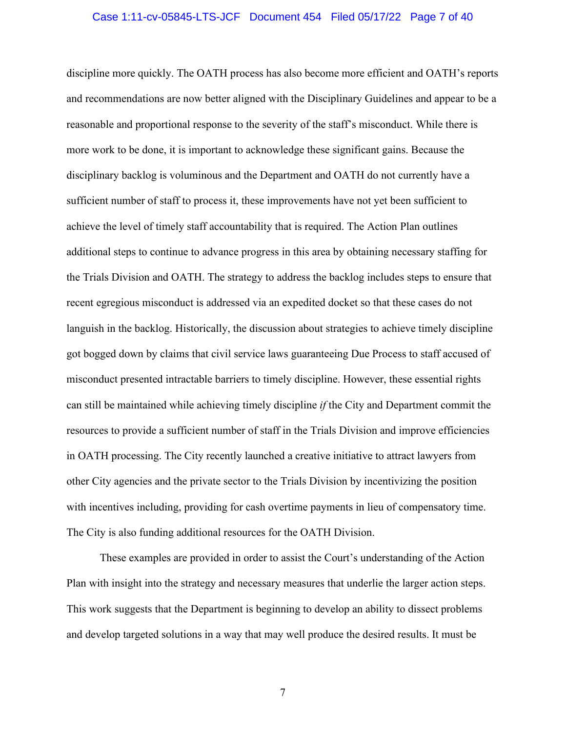### Case 1:11-cv-05845-LTS-JCF Document 454 Filed 05/17/22 Page 7 of 40

discipline more quickly. The OATH process has also become more efficient and OATH's reports and recommendations are now better aligned with the Disciplinary Guidelines and appear to be a reasonable and proportional response to the severity of the staff's misconduct. While there is more work to be done, it is important to acknowledge these significant gains. Because the disciplinary backlog is voluminous and the Department and OATH do not currently have a sufficient number of staff to process it, these improvements have not yet been sufficient to achieve the level of timely staff accountability that is required. The Action Plan outlines additional steps to continue to advance progress in this area by obtaining necessary staffing for the Trials Division and OATH. The strategy to address the backlog includes steps to ensure that recent egregious misconduct is addressed via an expedited docket so that these cases do not languish in the backlog. Historically, the discussion about strategies to achieve timely discipline got bogged down by claims that civil service laws guaranteeing Due Process to staff accused of misconduct presented intractable barriers to timely discipline. However, these essential rights can still be maintained while achieving timely discipline *if* the City and Department commit the resources to provide a sufficient number of staff in the Trials Division and improve efficiencies in OATH processing. The City recently launched a creative initiative to attract lawyers from other City agencies and the private sector to the Trials Division by incentivizing the position with incentives including, providing for cash overtime payments in lieu of compensatory time. The City is also funding additional resources for the OATH Division.

These examples are provided in order to assist the Court's understanding of the Action Plan with insight into the strategy and necessary measures that underlie the larger action steps. This work suggests that the Department is beginning to develop an ability to dissect problems and develop targeted solutions in a way that may well produce the desired results. It must be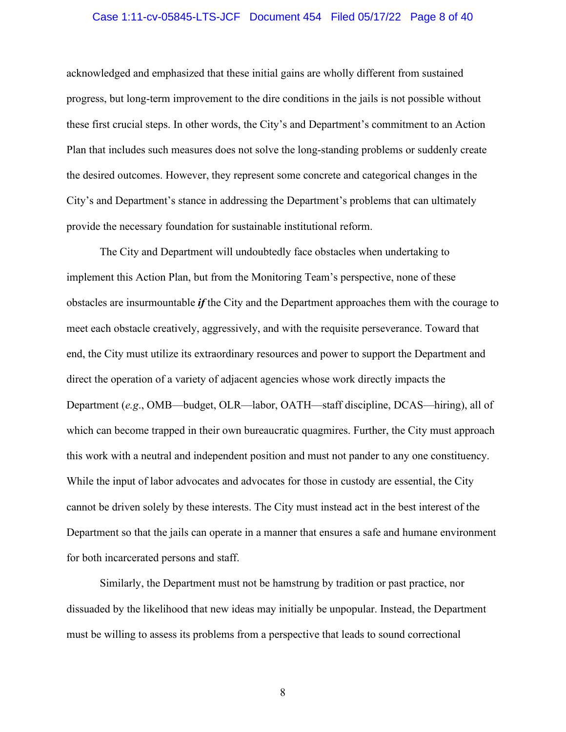### Case 1:11-cv-05845-LTS-JCF Document 454 Filed 05/17/22 Page 8 of 40

acknowledged and emphasized that these initial gains are wholly different from sustained progress, but long-term improvement to the dire conditions in the jails is not possible without these first crucial steps. In other words, the City's and Department's commitment to an Action Plan that includes such measures does not solve the long-standing problems or suddenly create the desired outcomes. However, they represent some concrete and categorical changes in the City's and Department's stance in addressing the Department's problems that can ultimately provide the necessary foundation for sustainable institutional reform.

The City and Department will undoubtedly face obstacles when undertaking to implement this Action Plan, but from the Monitoring Team's perspective, none of these obstacles are insurmountable *if* the City and the Department approaches them with the courage to meet each obstacle creatively, aggressively, and with the requisite perseverance. Toward that end, the City must utilize its extraordinary resources and power to support the Department and direct the operation of a variety of adjacent agencies whose work directly impacts the Department (*e.g*., OMB—budget, OLR—labor, OATH—staff discipline, DCAS—hiring), all of which can become trapped in their own bureaucratic quagmires. Further, the City must approach this work with a neutral and independent position and must not pander to any one constituency. While the input of labor advocates and advocates for those in custody are essential, the City cannot be driven solely by these interests. The City must instead act in the best interest of the Department so that the jails can operate in a manner that ensures a safe and humane environment for both incarcerated persons and staff.

Similarly, the Department must not be hamstrung by tradition or past practice, nor dissuaded by the likelihood that new ideas may initially be unpopular. Instead, the Department must be willing to assess its problems from a perspective that leads to sound correctional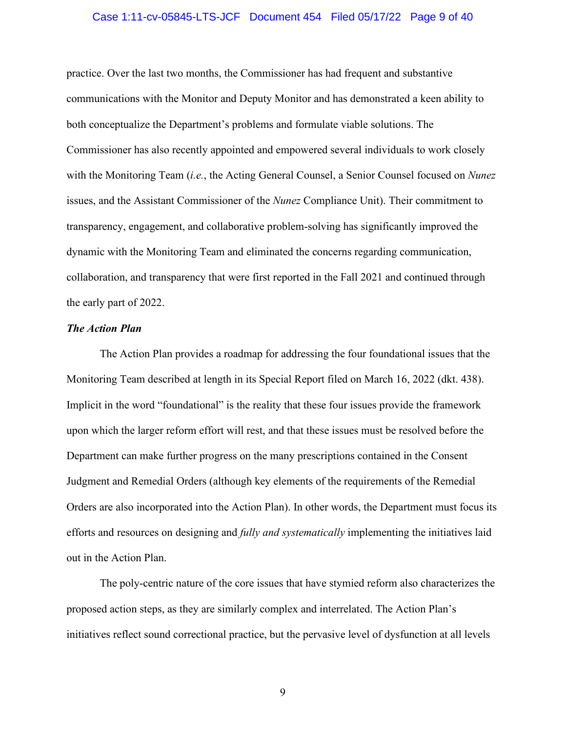### Case 1:11-cv-05845-LTS-JCF Document 454 Filed 05/17/22 Page 9 of 40

practice. Over the last two months, the Commissioner has had frequent and substantive communications with the Monitor and Deputy Monitor and has demonstrated a keen ability to both conceptualize the Department's problems and formulate viable solutions. The Commissioner has also recently appointed and empowered several individuals to work closely with the Monitoring Team (*i.e.*, the Acting General Counsel, a Senior Counsel focused on *Nunez* issues, and the Assistant Commissioner of the *Nunez* Compliance Unit). Their commitment to transparency, engagement, and collaborative problem-solving has significantly improved the dynamic with the Monitoring Team and eliminated the concerns regarding communication, collaboration, and transparency that were first reported in the Fall 2021 and continued through the early part of 2022.

### *The Action Plan*

The Action Plan provides a roadmap for addressing the four foundational issues that the Monitoring Team described at length in its Special Report filed on March 16, 2022 (dkt. 438). Implicit in the word "foundational" is the reality that these four issues provide the framework upon which the larger reform effort will rest, and that these issues must be resolved before the Department can make further progress on the many prescriptions contained in the Consent Judgment and Remedial Orders (although key elements of the requirements of the Remedial Orders are also incorporated into the Action Plan). In other words, the Department must focus its efforts and resources on designing and *fully and systematically* implementing the initiatives laid out in the Action Plan.

The poly-centric nature of the core issues that have stymied reform also characterizes the proposed action steps, as they are similarly complex and interrelated. The Action Plan's initiatives reflect sound correctional practice, but the pervasive level of dysfunction at all levels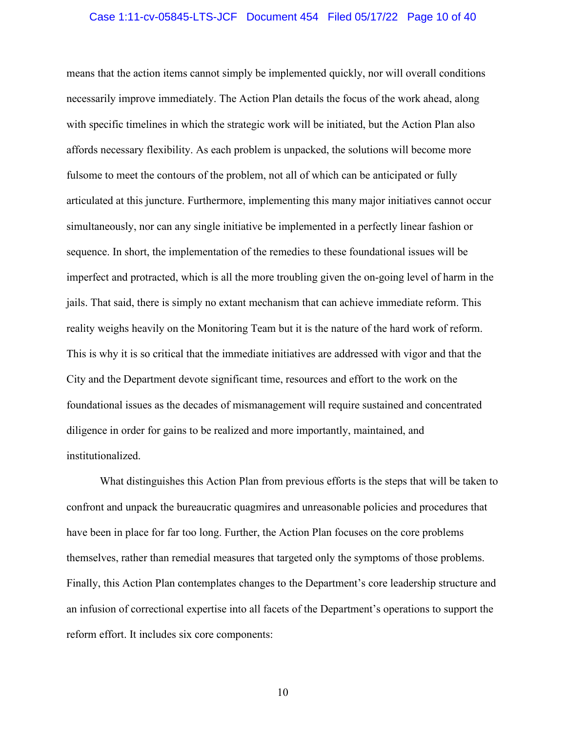### Case 1:11-cv-05845-LTS-JCF Document 454 Filed 05/17/22 Page 10 of 40

means that the action items cannot simply be implemented quickly, nor will overall conditions necessarily improve immediately. The Action Plan details the focus of the work ahead, along with specific timelines in which the strategic work will be initiated, but the Action Plan also affords necessary flexibility. As each problem is unpacked, the solutions will become more fulsome to meet the contours of the problem, not all of which can be anticipated or fully articulated at this juncture. Furthermore, implementing this many major initiatives cannot occur simultaneously, nor can any single initiative be implemented in a perfectly linear fashion or sequence. In short, the implementation of the remedies to these foundational issues will be imperfect and protracted, which is all the more troubling given the on-going level of harm in the jails. That said, there is simply no extant mechanism that can achieve immediate reform. This reality weighs heavily on the Monitoring Team but it is the nature of the hard work of reform. This is why it is so critical that the immediate initiatives are addressed with vigor and that the City and the Department devote significant time, resources and effort to the work on the foundational issues as the decades of mismanagement will require sustained and concentrated diligence in order for gains to be realized and more importantly, maintained, and institutionalized.

What distinguishes this Action Plan from previous efforts is the steps that will be taken to confront and unpack the bureaucratic quagmires and unreasonable policies and procedures that have been in place for far too long. Further, the Action Plan focuses on the core problems themselves, rather than remedial measures that targeted only the symptoms of those problems. Finally, this Action Plan contemplates changes to the Department's core leadership structure and an infusion of correctional expertise into all facets of the Department's operations to support the reform effort. It includes six core components: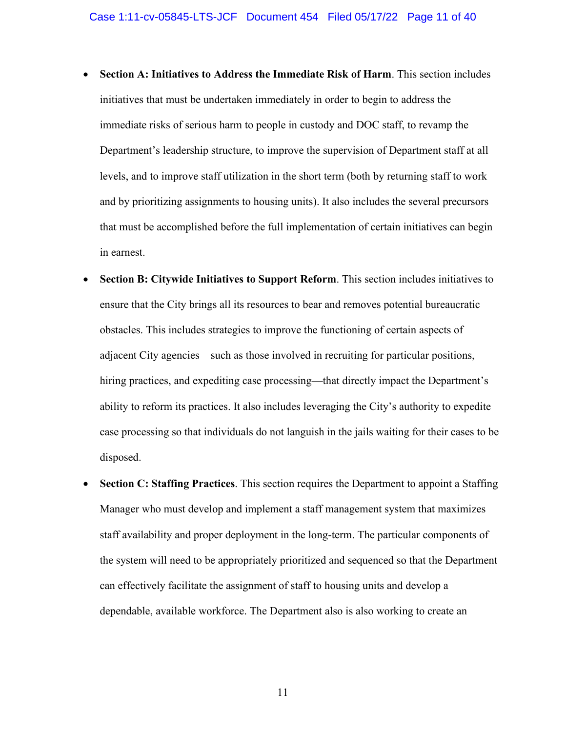- **Section A: Initiatives to Address the Immediate Risk of Harm**. This section includes initiatives that must be undertaken immediately in order to begin to address the immediate risks of serious harm to people in custody and DOC staff, to revamp the Department's leadership structure, to improve the supervision of Department staff at all levels, and to improve staff utilization in the short term (both by returning staff to work and by prioritizing assignments to housing units). It also includes the several precursors that must be accomplished before the full implementation of certain initiatives can begin in earnest.
- **Section B: Citywide Initiatives to Support Reform**. This section includes initiatives to ensure that the City brings all its resources to bear and removes potential bureaucratic obstacles. This includes strategies to improve the functioning of certain aspects of adjacent City agencies—such as those involved in recruiting for particular positions, hiring practices, and expediting case processing—that directly impact the Department's ability to reform its practices. It also includes leveraging the City's authority to expedite case processing so that individuals do not languish in the jails waiting for their cases to be disposed.
- **Section C: Staffing Practices**. This section requires the Department to appoint a Staffing Manager who must develop and implement a staff management system that maximizes staff availability and proper deployment in the long-term. The particular components of the system will need to be appropriately prioritized and sequenced so that the Department can effectively facilitate the assignment of staff to housing units and develop a dependable, available workforce. The Department also is also working to create an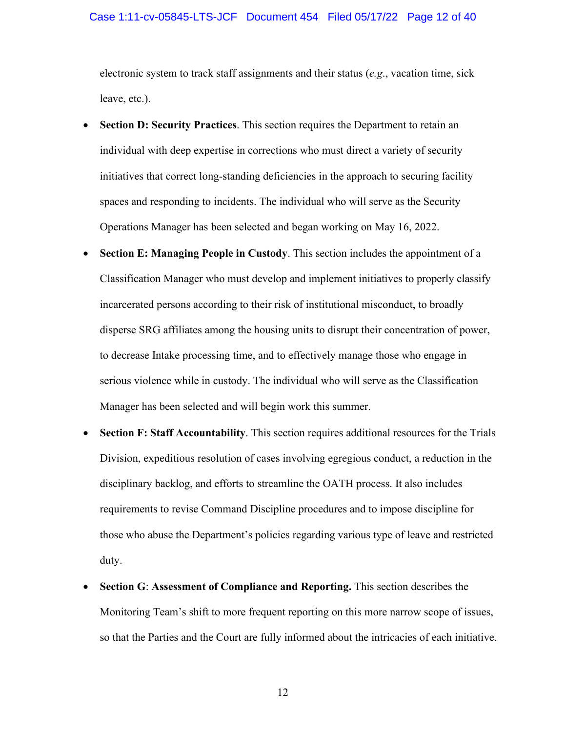### Case 1:11-cv-05845-LTS-JCF Document 454 Filed 05/17/22 Page 12 of 40

electronic system to track staff assignments and their status (*e.g*., vacation time, sick leave, etc.).

- **Section D: Security Practices**. This section requires the Department to retain an individual with deep expertise in corrections who must direct a variety of security initiatives that correct long-standing deficiencies in the approach to securing facility spaces and responding to incidents. The individual who will serve as the Security Operations Manager has been selected and began working on May 16, 2022.
- **Section E: Managing People in Custody.** This section includes the appointment of a Classification Manager who must develop and implement initiatives to properly classify incarcerated persons according to their risk of institutional misconduct, to broadly disperse SRG affiliates among the housing units to disrupt their concentration of power, to decrease Intake processing time, and to effectively manage those who engage in serious violence while in custody. The individual who will serve as the Classification Manager has been selected and will begin work this summer.
- **Section F: Staff Accountability**. This section requires additional resources for the Trials Division, expeditious resolution of cases involving egregious conduct, a reduction in the disciplinary backlog, and efforts to streamline the OATH process. It also includes requirements to revise Command Discipline procedures and to impose discipline for those who abuse the Department's policies regarding various type of leave and restricted duty.
- **Section G**: **Assessment of Compliance and Reporting.** This section describes the Monitoring Team's shift to more frequent reporting on this more narrow scope of issues, so that the Parties and the Court are fully informed about the intricacies of each initiative.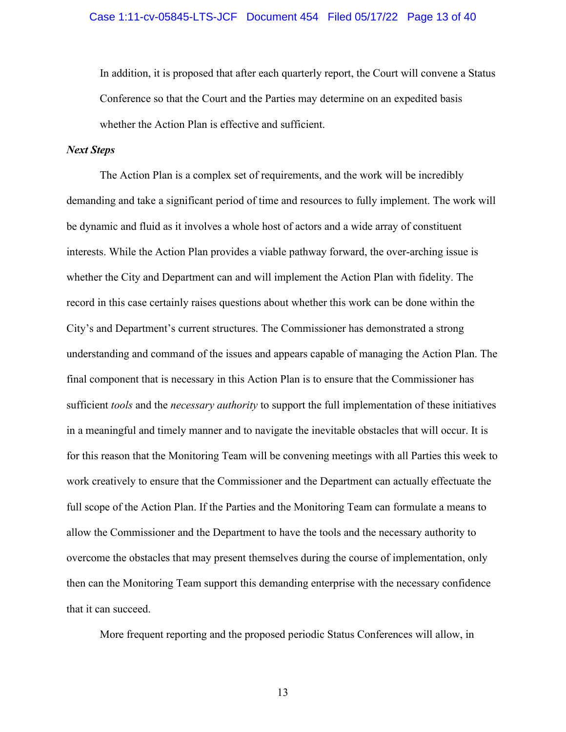### Case 1:11-cv-05845-LTS-JCF Document 454 Filed 05/17/22 Page 13 of 40

In addition, it is proposed that after each quarterly report, the Court will convene a Status Conference so that the Court and the Parties may determine on an expedited basis whether the Action Plan is effective and sufficient.

### *Next Steps*

The Action Plan is a complex set of requirements, and the work will be incredibly demanding and take a significant period of time and resources to fully implement. The work will be dynamic and fluid as it involves a whole host of actors and a wide array of constituent interests. While the Action Plan provides a viable pathway forward, the over-arching issue is whether the City and Department can and will implement the Action Plan with fidelity. The record in this case certainly raises questions about whether this work can be done within the City's and Department's current structures. The Commissioner has demonstrated a strong understanding and command of the issues and appears capable of managing the Action Plan. The final component that is necessary in this Action Plan is to ensure that the Commissioner has sufficient *tools* and the *necessary authority* to support the full implementation of these initiatives in a meaningful and timely manner and to navigate the inevitable obstacles that will occur. It is for this reason that the Monitoring Team will be convening meetings with all Parties this week to work creatively to ensure that the Commissioner and the Department can actually effectuate the full scope of the Action Plan. If the Parties and the Monitoring Team can formulate a means to allow the Commissioner and the Department to have the tools and the necessary authority to overcome the obstacles that may present themselves during the course of implementation, only then can the Monitoring Team support this demanding enterprise with the necessary confidence that it can succeed.

More frequent reporting and the proposed periodic Status Conferences will allow, in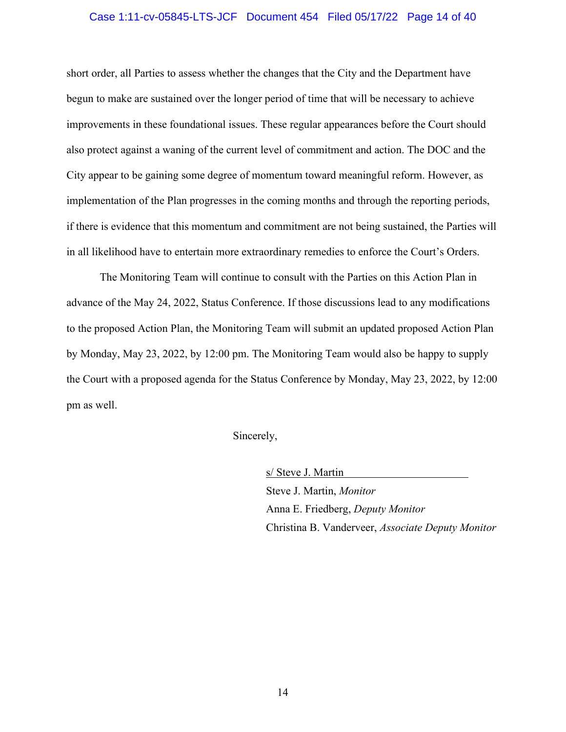### Case 1:11-cv-05845-LTS-JCF Document 454 Filed 05/17/22 Page 14 of 40

short order, all Parties to assess whether the changes that the City and the Department have begun to make are sustained over the longer period of time that will be necessary to achieve improvements in these foundational issues. These regular appearances before the Court should also protect against a waning of the current level of commitment and action. The DOC and the City appear to be gaining some degree of momentum toward meaningful reform. However, as implementation of the Plan progresses in the coming months and through the reporting periods, if there is evidence that this momentum and commitment are not being sustained, the Parties will in all likelihood have to entertain more extraordinary remedies to enforce the Court's Orders.

The Monitoring Team will continue to consult with the Parties on this Action Plan in advance of the May 24, 2022, Status Conference. If those discussions lead to any modifications to the proposed Action Plan, the Monitoring Team will submit an updated proposed Action Plan by Monday, May 23, 2022, by 12:00 pm. The Monitoring Team would also be happy to supply the Court with a proposed agenda for the Status Conference by Monday, May 23, 2022, by 12:00 pm as well.

Sincerely,

s/ Steve J. Martin Steve J. Martin, *Monitor* Anna E. Friedberg, *Deputy Monitor* Christina B. Vanderveer, *Associate Deputy Monitor*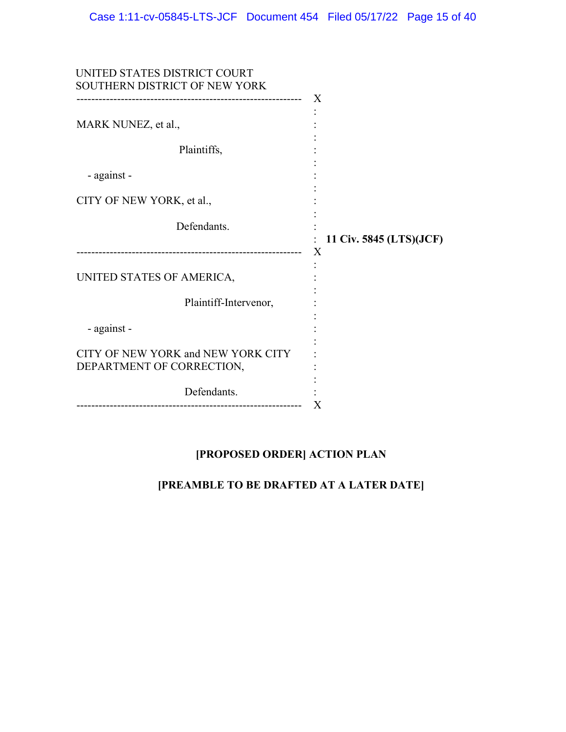| UNITED STATES DISTRICT COURT<br>SOUTHERN DISTRICT OF NEW YORK         | $\mathbf{X}$                 |
|-----------------------------------------------------------------------|------------------------------|
| MARK NUNEZ, et al.,                                                   |                              |
| Plaintiffs,                                                           |                              |
| - against -                                                           |                              |
| CITY OF NEW YORK, et al.,                                             |                              |
| Defendants.<br>---------------------------                            | 11 Civ. 5845 (LTS)(JCF)<br>X |
| UNITED STATES OF AMERICA,                                             |                              |
| Plaintiff-Intervenor,                                                 |                              |
| - against -                                                           |                              |
| CITY OF NEW YORK and NEW YORK CITY<br>DEPARTMENT OF CORRECTION,       |                              |
| Defendants.<br>--------------------<br>------------------------------ | Х                            |

## **[PROPOSED ORDER] ACTION PLAN**

## **[PREAMBLE TO BE DRAFTED AT A LATER DATE]**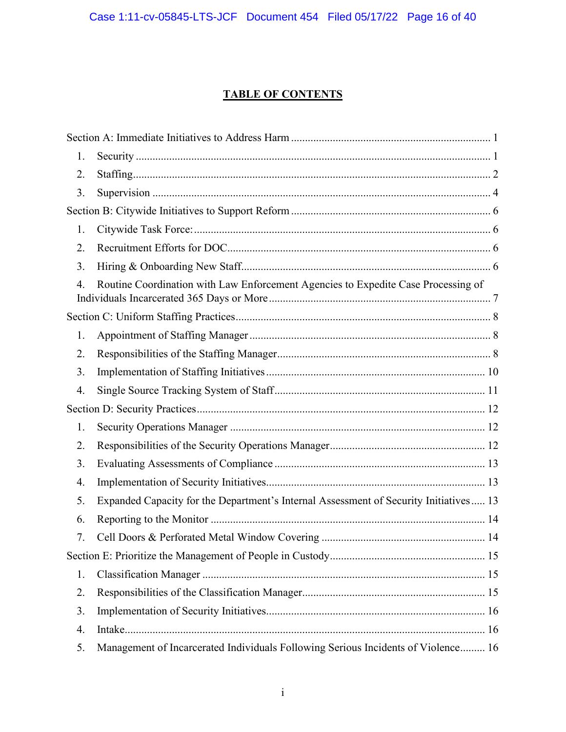## **TABLE OF CONTENTS**

| 1. |                                                                                       |
|----|---------------------------------------------------------------------------------------|
| 2. |                                                                                       |
| 3. |                                                                                       |
|    |                                                                                       |
| 1. |                                                                                       |
| 2. |                                                                                       |
| 3. |                                                                                       |
| 4. | Routine Coordination with Law Enforcement Agencies to Expedite Case Processing of     |
|    |                                                                                       |
| 1. |                                                                                       |
| 2. |                                                                                       |
| 3. |                                                                                       |
| 4. |                                                                                       |
|    |                                                                                       |
| 1. |                                                                                       |
| 2. |                                                                                       |
| 3. |                                                                                       |
| 4. |                                                                                       |
| 5. | Expanded Capacity for the Department's Internal Assessment of Security Initiatives 13 |
| 6. |                                                                                       |
| 7. |                                                                                       |
|    |                                                                                       |
| 1. |                                                                                       |
| 2. |                                                                                       |
| 3. |                                                                                       |
| 4. |                                                                                       |
| 5. | Management of Incarcerated Individuals Following Serious Incidents of Violence 16     |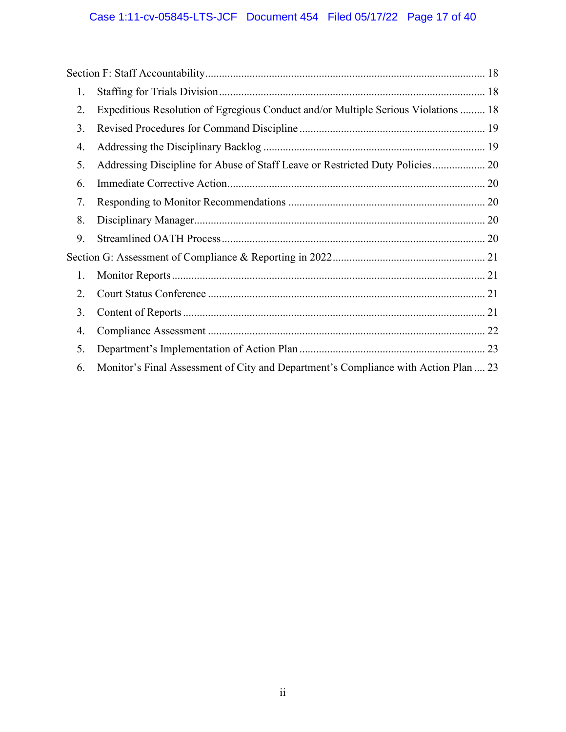# Case 1:11-cv-05845-LTS-JCF Document 454 Filed 05/17/22 Page 17 of 40

| 1. |                                                                                     |  |
|----|-------------------------------------------------------------------------------------|--|
| 2. | Expeditious Resolution of Egregious Conduct and/or Multiple Serious Violations  18  |  |
| 3. |                                                                                     |  |
| 4. |                                                                                     |  |
| 5. | Addressing Discipline for Abuse of Staff Leave or Restricted Duty Policies 20       |  |
| 6. |                                                                                     |  |
| 7. |                                                                                     |  |
| 8. |                                                                                     |  |
| 9. |                                                                                     |  |
|    |                                                                                     |  |
| 1. |                                                                                     |  |
| 2. |                                                                                     |  |
| 3. |                                                                                     |  |
| 4. |                                                                                     |  |
| 5. |                                                                                     |  |
| 6. | Monitor's Final Assessment of City and Department's Compliance with Action Plan  23 |  |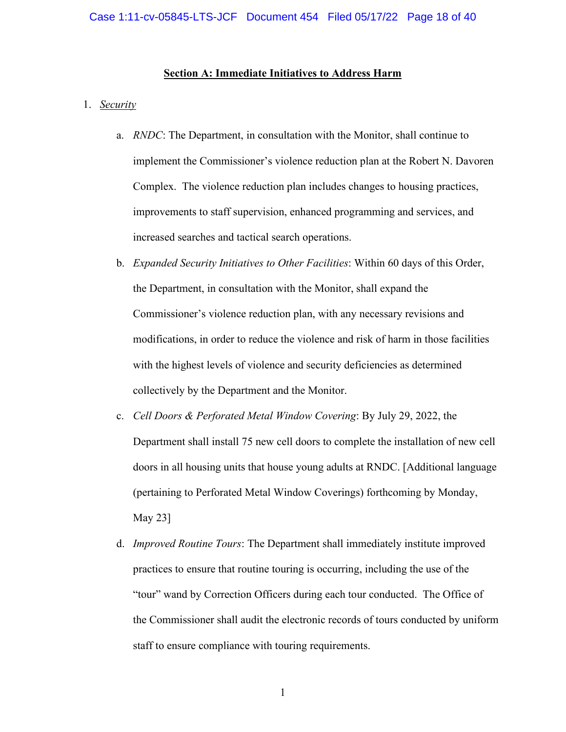### **Section A: Immediate Initiatives to Address Harm**

#### <span id="page-17-1"></span><span id="page-17-0"></span>1. *Security*

- a. *RNDC*: The Department, in consultation with the Monitor, shall continue to implement the Commissioner's violence reduction plan at the Robert N. Davoren Complex. The violence reduction plan includes changes to housing practices, improvements to staff supervision, enhanced programming and services, and increased searches and tactical search operations.
- b. *Expanded Security Initiatives to Other Facilities*: Within 60 days of this Order, the Department, in consultation with the Monitor, shall expand the Commissioner's violence reduction plan, with any necessary revisions and modifications, in order to reduce the violence and risk of harm in those facilities with the highest levels of violence and security deficiencies as determined collectively by the Department and the Monitor.
- c. *Cell Doors & Perforated Metal Window Covering*: By July 29, 2022, the Department shall install 75 new cell doors to complete the installation of new cell doors in all housing units that house young adults at RNDC. [Additional language (pertaining to Perforated Metal Window Coverings) forthcoming by Monday, May 23]
- d. *Improved Routine Tours*: The Department shall immediately institute improved practices to ensure that routine touring is occurring, including the use of the "tour" wand by Correction Officers during each tour conducted. The Office of the Commissioner shall audit the electronic records of tours conducted by uniform staff to ensure compliance with touring requirements.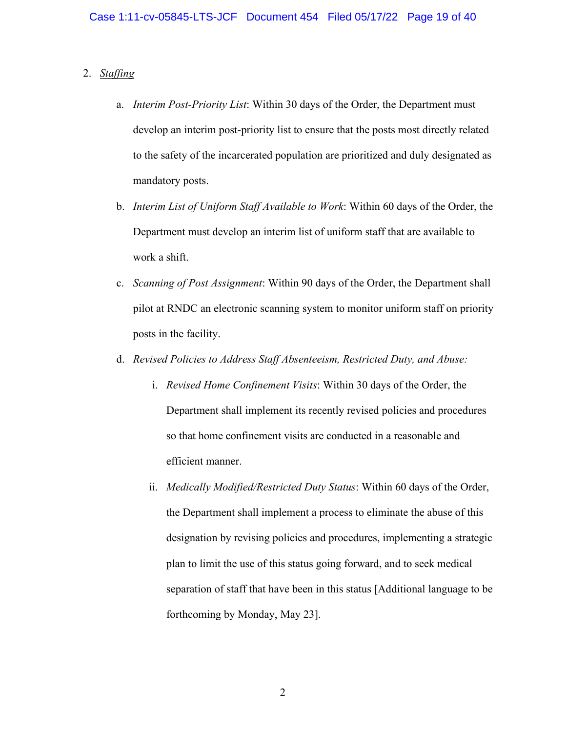### <span id="page-18-0"></span>2. *Staffing*

- a. *Interim Post-Priority List*: Within 30 days of the Order, the Department must develop an interim post-priority list to ensure that the posts most directly related to the safety of the incarcerated population are prioritized and duly designated as mandatory posts.
- b. *Interim List of Uniform Staff Available to Work*: Within 60 days of the Order, the Department must develop an interim list of uniform staff that are available to work a shift.
- c. *Scanning of Post Assignment*: Within 90 days of the Order, the Department shall pilot at RNDC an electronic scanning system to monitor uniform staff on priority posts in the facility.
- d. *Revised Policies to Address Staff Absenteeism, Restricted Duty, and Abuse:* 
	- i. *Revised Home Confinement Visits*: Within 30 days of the Order, the Department shall implement its recently revised policies and procedures so that home confinement visits are conducted in a reasonable and efficient manner.
	- ii. *Medically Modified/Restricted Duty Status*: Within 60 days of the Order, the Department shall implement a process to eliminate the abuse of this designation by revising policies and procedures, implementing a strategic plan to limit the use of this status going forward, and to seek medical separation of staff that have been in this status [Additional language to be forthcoming by Monday, May 23].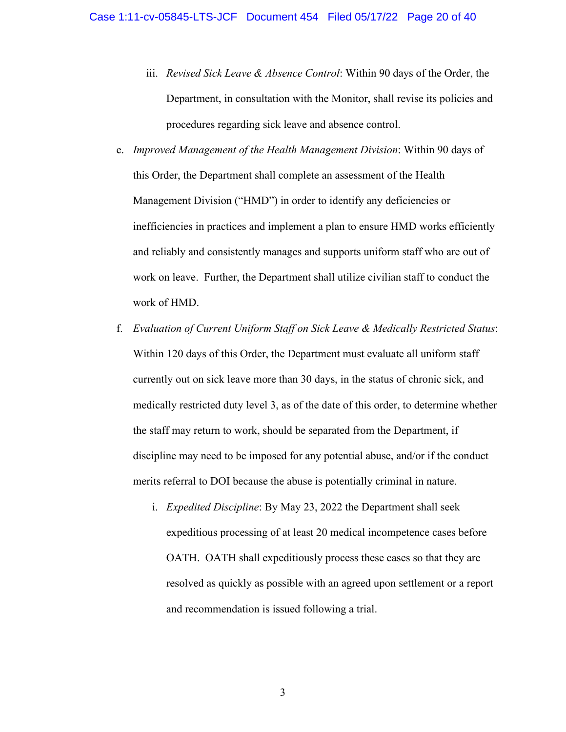- iii. *Revised Sick Leave & Absence Control*: Within 90 days of the Order, the Department, in consultation with the Monitor, shall revise its policies and procedures regarding sick leave and absence control.
- e. *Improved Management of the Health Management Division*: Within 90 days of this Order, the Department shall complete an assessment of the Health Management Division ("HMD") in order to identify any deficiencies or inefficiencies in practices and implement a plan to ensure HMD works efficiently and reliably and consistently manages and supports uniform staff who are out of work on leave. Further, the Department shall utilize civilian staff to conduct the work of HMD.
- f. *Evaluation of Current Uniform Staff on Sick Leave & Medically Restricted Status*: Within 120 days of this Order, the Department must evaluate all uniform staff currently out on sick leave more than 30 days, in the status of chronic sick, and medically restricted duty level 3, as of the date of this order, to determine whether the staff may return to work, should be separated from the Department, if discipline may need to be imposed for any potential abuse, and/or if the conduct merits referral to DOI because the abuse is potentially criminal in nature.
	- i. *Expedited Discipline*: By May 23, 2022 the Department shall seek expeditious processing of at least 20 medical incompetence cases before OATH. OATH shall expeditiously process these cases so that they are resolved as quickly as possible with an agreed upon settlement or a report and recommendation is issued following a trial.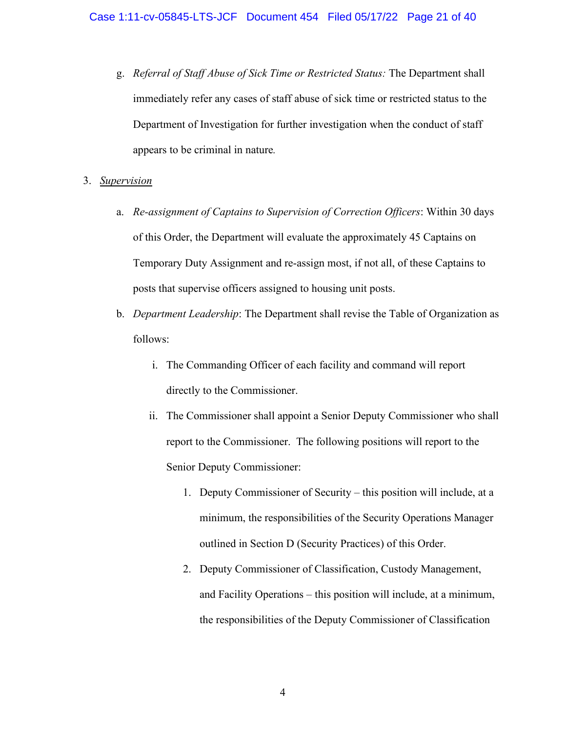g. *Referral of Staff Abuse of Sick Time or Restricted Status:* The Department shall immediately refer any cases of staff abuse of sick time or restricted status to the Department of Investigation for further investigation when the conduct of staff appears to be criminal in nature*.*

### <span id="page-20-0"></span>3. *Supervision*

- a. *Re-assignment of Captains to Supervision of Correction Officers*: Within 30 days of this Order, the Department will evaluate the approximately 45 Captains on Temporary Duty Assignment and re-assign most, if not all, of these Captains to posts that supervise officers assigned to housing unit posts.
- b. *Department Leadership*: The Department shall revise the Table of Organization as follows:
	- i. The Commanding Officer of each facility and command will report directly to the Commissioner.
	- ii. The Commissioner shall appoint a Senior Deputy Commissioner who shall report to the Commissioner. The following positions will report to the Senior Deputy Commissioner:
		- 1. Deputy Commissioner of Security this position will include, at a minimum, the responsibilities of the Security Operations Manager outlined in Section D (Security Practices) of this Order.
		- 2. Deputy Commissioner of Classification, Custody Management, and Facility Operations – this position will include, at a minimum, the responsibilities of the Deputy Commissioner of Classification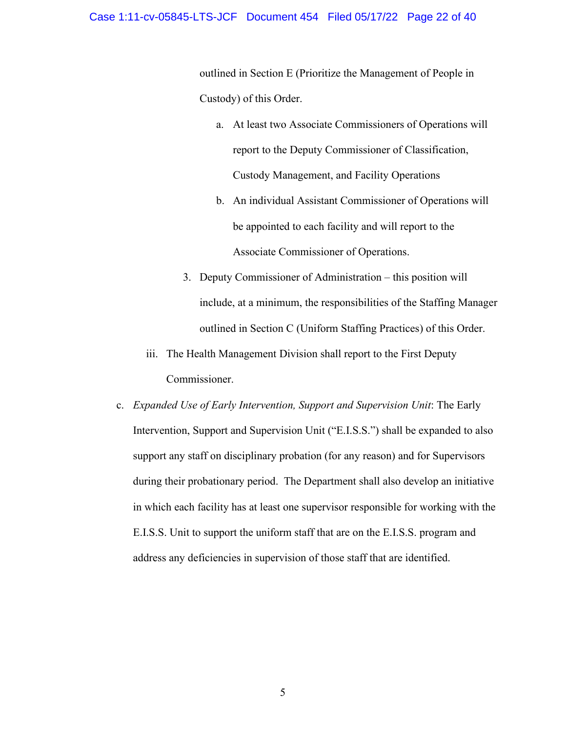### Case 1:11-cv-05845-LTS-JCF Document 454 Filed 05/17/22 Page 22 of 40

outlined in Section E (Prioritize the Management of People in Custody) of this Order.

- a. At least two Associate Commissioners of Operations will report to the Deputy Commissioner of Classification, Custody Management, and Facility Operations
- b. An individual Assistant Commissioner of Operations will be appointed to each facility and will report to the Associate Commissioner of Operations.
- 3. Deputy Commissioner of Administration this position will include, at a minimum, the responsibilities of the Staffing Manager outlined in Section C (Uniform Staffing Practices) of this Order.
- iii. The Health Management Division shall report to the First Deputy Commissioner.
- c. *Expanded Use of Early Intervention, Support and Supervision Unit*: The Early Intervention, Support and Supervision Unit ("E.I.S.S.") shall be expanded to also support any staff on disciplinary probation (for any reason) and for Supervisors during their probationary period. The Department shall also develop an initiative in which each facility has at least one supervisor responsible for working with the E.I.S.S. Unit to support the uniform staff that are on the E.I.S.S. program and address any deficiencies in supervision of those staff that are identified.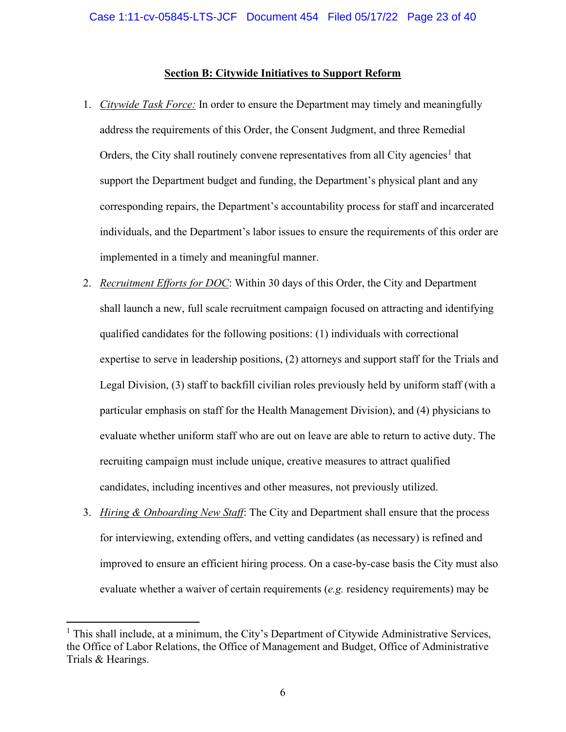### **Section B: Citywide Initiatives to Support Reform**

- <span id="page-22-1"></span><span id="page-22-0"></span>1. *Citywide Task Force:* In order to ensure the Department may timely and meaningfully address the requirements of this Order, the Consent Judgment, and three Remedial Orders, the City shall routinely convene representatives from all City agencies<sup>[1](#page-22-4)</sup> that support the Department budget and funding, the Department's physical plant and any corresponding repairs, the Department's accountability process for staff and incarcerated individuals, and the Department's labor issues to ensure the requirements of this order are implemented in a timely and meaningful manner.
- <span id="page-22-2"></span>2. *Recruitment Efforts for DOC*: Within 30 days of this Order, the City and Department shall launch a new, full scale recruitment campaign focused on attracting and identifying qualified candidates for the following positions: (1) individuals with correctional expertise to serve in leadership positions, (2) attorneys and support staff for the Trials and Legal Division, (3) staff to backfill civilian roles previously held by uniform staff (with a particular emphasis on staff for the Health Management Division), and (4) physicians to evaluate whether uniform staff who are out on leave are able to return to active duty. The recruiting campaign must include unique, creative measures to attract qualified candidates, including incentives and other measures, not previously utilized.
- <span id="page-22-3"></span>3. *Hiring & Onboarding New Staff*: The City and Department shall ensure that the process for interviewing, extending offers, and vetting candidates (as necessary) is refined and improved to ensure an efficient hiring process. On a case-by-case basis the City must also evaluate whether a waiver of certain requirements (*e.g.* residency requirements) may be

<span id="page-22-4"></span><sup>&</sup>lt;sup>1</sup> This shall include, at a minimum, the City's Department of Citywide Administrative Services, the Office of Labor Relations, the Office of Management and Budget, Office of Administrative Trials & Hearings.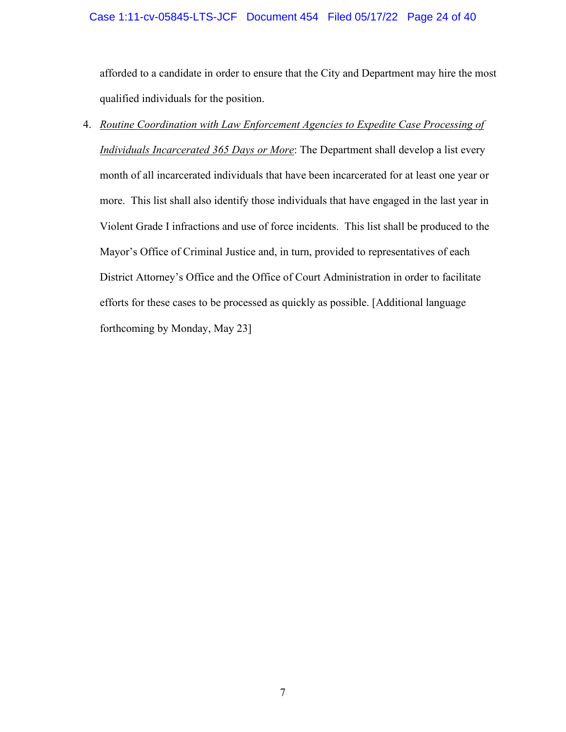### Case 1:11-cv-05845-LTS-JCF Document 454 Filed 05/17/22 Page 24 of 40

afforded to a candidate in order to ensure that the City and Department may hire the most qualified individuals for the position.

<span id="page-23-0"></span>4. *Routine Coordination with Law Enforcement Agencies to Expedite Case Processing of Individuals Incarcerated 365 Days or More*: The Department shall develop a list every month of all incarcerated individuals that have been incarcerated for at least one year or more. This list shall also identify those individuals that have engaged in the last year in Violent Grade I infractions and use of force incidents. This list shall be produced to the Mayor's Office of Criminal Justice and, in turn, provided to representatives of each District Attorney's Office and the Office of Court Administration in order to facilitate efforts for these cases to be processed as quickly as possible. [Additional language forthcoming by Monday, May 23]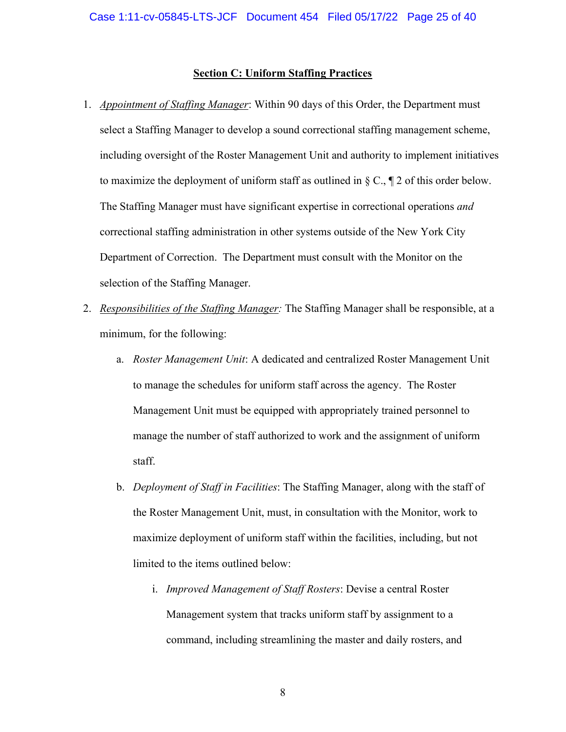### **Section C: Uniform Staffing Practices**

- <span id="page-24-1"></span><span id="page-24-0"></span>1. *Appointment of Staffing Manager*: Within 90 days of this Order, the Department must select a Staffing Manager to develop a sound correctional staffing management scheme, including oversight of the Roster Management Unit and authority to implement initiatives to maximize the deployment of uniform staff as outlined in  $\S C$ ,  $\P 2$  of this order below. The Staffing Manager must have significant expertise in correctional operations *and* correctional staffing administration in other systems outside of the New York City Department of Correction. The Department must consult with the Monitor on the selection of the Staffing Manager.
- <span id="page-24-2"></span>2. *Responsibilities of the Staffing Manager:* The Staffing Manager shall be responsible, at a minimum, for the following:
	- a. *Roster Management Unit*: A dedicated and centralized Roster Management Unit to manage the schedules for uniform staff across the agency. The Roster Management Unit must be equipped with appropriately trained personnel to manage the number of staff authorized to work and the assignment of uniform staff.
	- b. *Deployment of Staff in Facilities*: The Staffing Manager, along with the staff of the Roster Management Unit, must, in consultation with the Monitor, work to maximize deployment of uniform staff within the facilities, including, but not limited to the items outlined below:
		- i. *Improved Management of Staff Rosters*: Devise a central Roster Management system that tracks uniform staff by assignment to a command, including streamlining the master and daily rosters, and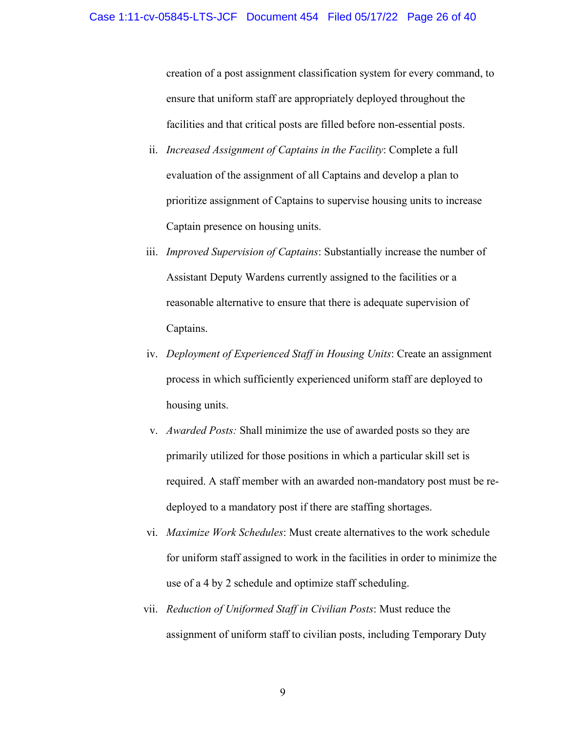creation of a post assignment classification system for every command, to ensure that uniform staff are appropriately deployed throughout the facilities and that critical posts are filled before non-essential posts.

- ii. *Increased Assignment of Captains in the Facility*: Complete a full evaluation of the assignment of all Captains and develop a plan to prioritize assignment of Captains to supervise housing units to increase Captain presence on housing units.
- iii. *Improved Supervision of Captains*: Substantially increase the number of Assistant Deputy Wardens currently assigned to the facilities or a reasonable alternative to ensure that there is adequate supervision of Captains.
- iv. *Deployment of Experienced Staff in Housing Units*: Create an assignment process in which sufficiently experienced uniform staff are deployed to housing units.
- v. *Awarded Posts:* Shall minimize the use of awarded posts so they are primarily utilized for those positions in which a particular skill set is required. A staff member with an awarded non-mandatory post must be redeployed to a mandatory post if there are staffing shortages.
- vi. *Maximize Work Schedules*: Must create alternatives to the work schedule for uniform staff assigned to work in the facilities in order to minimize the use of a 4 by 2 schedule and optimize staff scheduling.
- vii. *Reduction of Uniformed Staff in Civilian Posts*: Must reduce the assignment of uniform staff to civilian posts, including Temporary Duty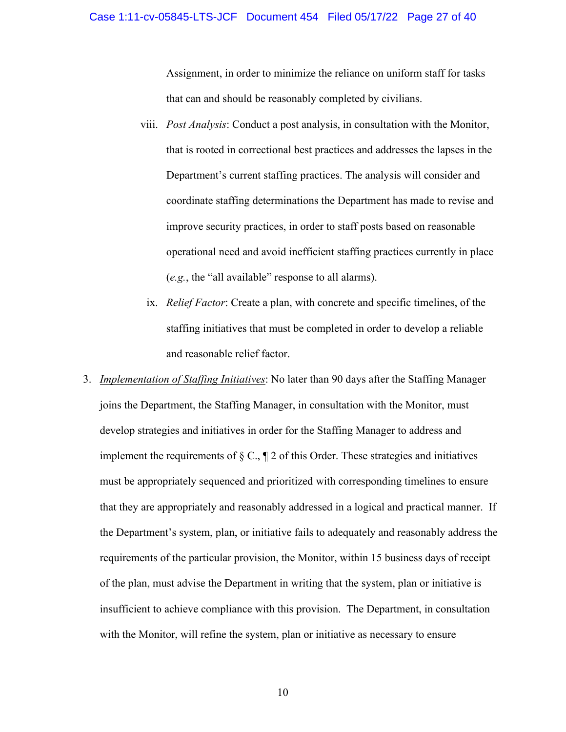### Case 1:11-cv-05845-LTS-JCF Document 454 Filed 05/17/22 Page 27 of 40

Assignment, in order to minimize the reliance on uniform staff for tasks that can and should be reasonably completed by civilians.

- viii. *Post Analysis*: Conduct a post analysis, in consultation with the Monitor, that is rooted in correctional best practices and addresses the lapses in the Department's current staffing practices. The analysis will consider and coordinate staffing determinations the Department has made to revise and improve security practices, in order to staff posts based on reasonable operational need and avoid inefficient staffing practices currently in place (*e.g.*, the "all available" response to all alarms).
	- ix. *Relief Factor*: Create a plan, with concrete and specific timelines, of the staffing initiatives that must be completed in order to develop a reliable and reasonable relief factor.
- <span id="page-26-0"></span>3. *Implementation of Staffing Initiatives*: No later than 90 days after the Staffing Manager joins the Department, the Staffing Manager, in consultation with the Monitor, must develop strategies and initiatives in order for the Staffing Manager to address and implement the requirements of  $\S \mathbb{C}$ ,  $\P$  2 of this Order. These strategies and initiatives must be appropriately sequenced and prioritized with corresponding timelines to ensure that they are appropriately and reasonably addressed in a logical and practical manner. If the Department's system, plan, or initiative fails to adequately and reasonably address the requirements of the particular provision, the Monitor, within 15 business days of receipt of the plan, must advise the Department in writing that the system, plan or initiative is insufficient to achieve compliance with this provision. The Department, in consultation with the Monitor, will refine the system, plan or initiative as necessary to ensure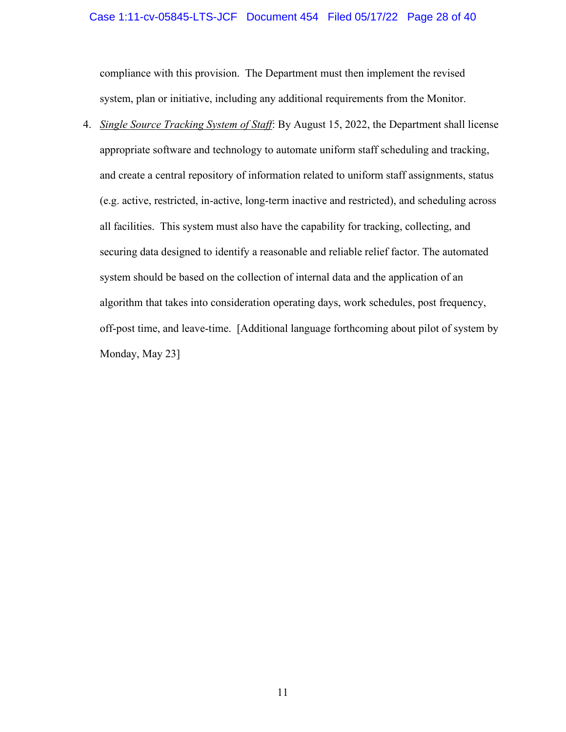### Case 1:11-cv-05845-LTS-JCF Document 454 Filed 05/17/22 Page 28 of 40

compliance with this provision. The Department must then implement the revised system, plan or initiative, including any additional requirements from the Monitor.

<span id="page-27-0"></span>4. *Single Source Tracking System of Staff*: By August 15, 2022, the Department shall license appropriate software and technology to automate uniform staff scheduling and tracking, and create a central repository of information related to uniform staff assignments, status (e.g. active, restricted, in-active, long-term inactive and restricted), and scheduling across all facilities. This system must also have the capability for tracking, collecting, and securing data designed to identify a reasonable and reliable relief factor. The automated system should be based on the collection of internal data and the application of an algorithm that takes into consideration operating days, work schedules, post frequency, off-post time, and leave-time. [Additional language forthcoming about pilot of system by Monday, May 23]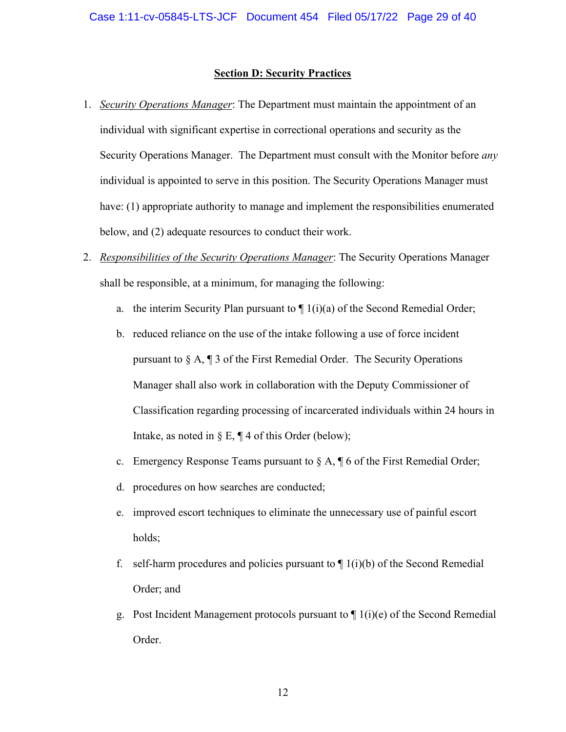### **Section D: Security Practices**

- <span id="page-28-1"></span><span id="page-28-0"></span>1. *Security Operations Manager*: The Department must maintain the appointment of an individual with significant expertise in correctional operations and security as the Security Operations Manager. The Department must consult with the Monitor before *any* individual is appointed to serve in this position. The Security Operations Manager must have: (1) appropriate authority to manage and implement the responsibilities enumerated below, and (2) adequate resources to conduct their work.
- <span id="page-28-2"></span>2. *Responsibilities of the Security Operations Manager*: The Security Operations Manager shall be responsible, at a minimum, for managing the following:
	- a. the interim Security Plan pursuant to  $\P$  1(i)(a) of the Second Remedial Order;
	- b. reduced reliance on the use of the intake following a use of force incident pursuant to § A, ¶ 3 of the First Remedial Order. The Security Operations Manager shall also work in collaboration with the Deputy Commissioner of Classification regarding processing of incarcerated individuals within 24 hours in Intake, as noted in  $\S E$ ,  $\P 4$  of this Order (below);
	- c. Emergency Response Teams pursuant to  $\S A$ ,  $\P 6$  of the First Remedial Order;
	- d. procedures on how searches are conducted;
	- e. improved escort techniques to eliminate the unnecessary use of painful escort holds;
	- f. self-harm procedures and policies pursuant to  $\P$  1(i)(b) of the Second Remedial Order; and
	- g. Post Incident Management protocols pursuant to  $\P$  1(i)(e) of the Second Remedial Order.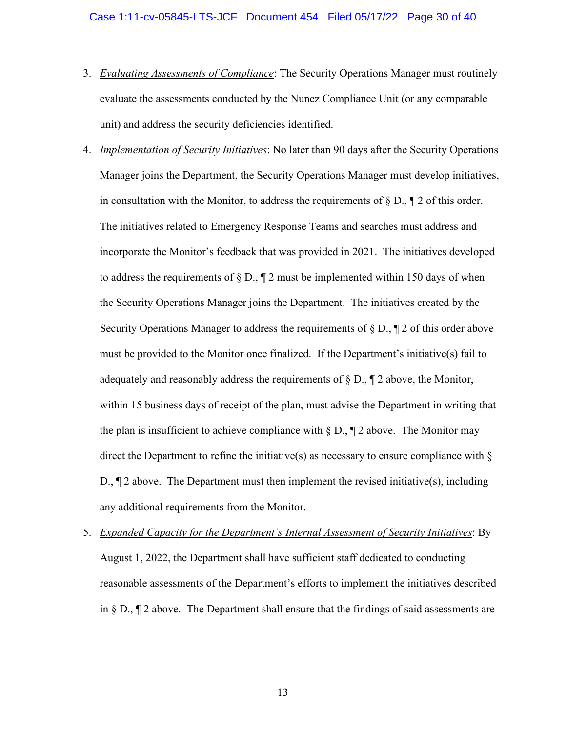- <span id="page-29-0"></span>3. *Evaluating Assessments of Compliance*: The Security Operations Manager must routinely evaluate the assessments conducted by the Nunez Compliance Unit (or any comparable unit) and address the security deficiencies identified.
- <span id="page-29-1"></span>4. *Implementation of Security Initiatives*: No later than 90 days after the Security Operations Manager joins the Department, the Security Operations Manager must develop initiatives, in consultation with the Monitor, to address the requirements of  $\S D$ ,  $\P 2$  of this order. The initiatives related to Emergency Response Teams and searches must address and incorporate the Monitor's feedback that was provided in 2021. The initiatives developed to address the requirements of  $\S D$ ,  $\P 2$  must be implemented within 150 days of when the Security Operations Manager joins the Department. The initiatives created by the Security Operations Manager to address the requirements of  $\S D_{n} \P 2$  of this order above must be provided to the Monitor once finalized. If the Department's initiative(s) fail to adequately and reasonably address the requirements of  $\S D$ ,  $\P 2$  above, the Monitor, within 15 business days of receipt of the plan, must advise the Department in writing that the plan is insufficient to achieve compliance with  $\S D$ ,  $\P 2$  above. The Monitor may direct the Department to refine the initiative(s) as necessary to ensure compliance with  $\S$ D.,  $\P$  2 above. The Department must then implement the revised initiative(s), including any additional requirements from the Monitor.
- <span id="page-29-2"></span>5. *Expanded Capacity for the Department's Internal Assessment of Security Initiatives*: By August 1, 2022, the Department shall have sufficient staff dedicated to conducting reasonable assessments of the Department's efforts to implement the initiatives described in § D., ¶ 2 above. The Department shall ensure that the findings of said assessments are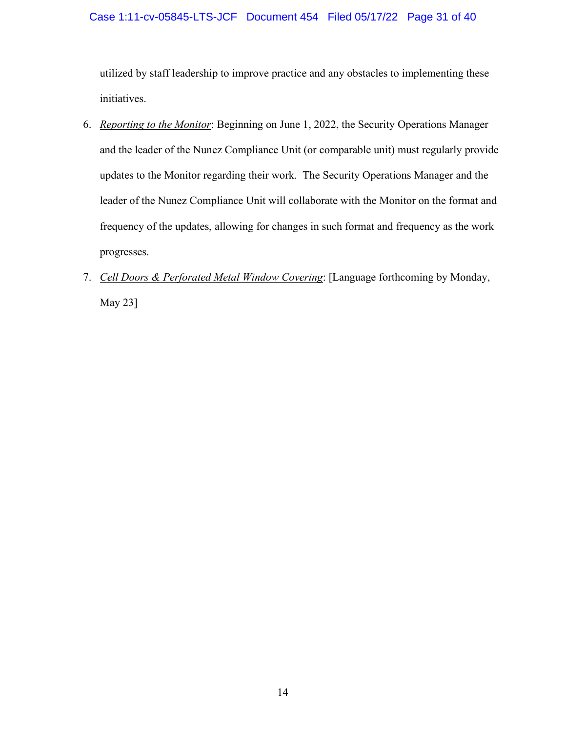### Case 1:11-cv-05845-LTS-JCF Document 454 Filed 05/17/22 Page 31 of 40

utilized by staff leadership to improve practice and any obstacles to implementing these initiatives.

- <span id="page-30-0"></span>6. *Reporting to the Monitor*: Beginning on June 1, 2022, the Security Operations Manager and the leader of the Nunez Compliance Unit (or comparable unit) must regularly provide updates to the Monitor regarding their work. The Security Operations Manager and the leader of the Nunez Compliance Unit will collaborate with the Monitor on the format and frequency of the updates, allowing for changes in such format and frequency as the work progresses.
- <span id="page-30-1"></span>7. *Cell Doors & Perforated Metal Window Covering*: [Language forthcoming by Monday, May 23]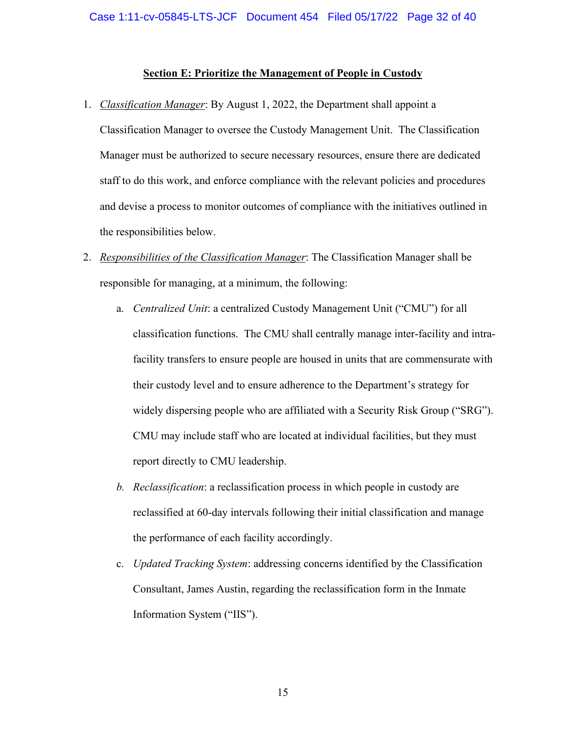### **Section E: Prioritize the Management of People in Custody**

<span id="page-31-1"></span><span id="page-31-0"></span>1. *Classification Manager*: By August 1, 2022, the Department shall appoint a

Classification Manager to oversee the Custody Management Unit. The Classification Manager must be authorized to secure necessary resources, ensure there are dedicated staff to do this work, and enforce compliance with the relevant policies and procedures and devise a process to monitor outcomes of compliance with the initiatives outlined in the responsibilities below.

- <span id="page-31-2"></span>2. *Responsibilities of the Classification Manager*: The Classification Manager shall be responsible for managing, at a minimum, the following:
	- a. *Centralized Unit*: a centralized Custody Management Unit ("CMU") for all classification functions. The CMU shall centrally manage inter-facility and intrafacility transfers to ensure people are housed in units that are commensurate with their custody level and to ensure adherence to the Department's strategy for widely dispersing people who are affiliated with a Security Risk Group ("SRG"). CMU may include staff who are located at individual facilities, but they must report directly to CMU leadership.
	- *b. Reclassification*: a reclassification process in which people in custody are reclassified at 60-day intervals following their initial classification and manage the performance of each facility accordingly.
	- c. *Updated Tracking System*: addressing concerns identified by the Classification Consultant, James Austin, regarding the reclassification form in the Inmate Information System ("IIS").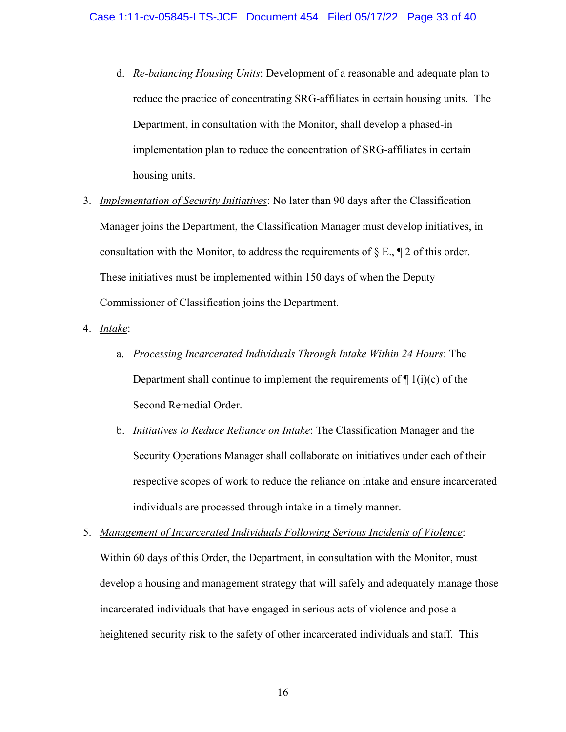- d. *Re-balancing Housing Units*: Development of a reasonable and adequate plan to reduce the practice of concentrating SRG-affiliates in certain housing units. The Department, in consultation with the Monitor, shall develop a phased-in implementation plan to reduce the concentration of SRG-affiliates in certain housing units.
- <span id="page-32-0"></span>3. *Implementation of Security Initiatives*: No later than 90 days after the Classification Manager joins the Department, the Classification Manager must develop initiatives, in consultation with the Monitor, to address the requirements of  $\S E$ ,  $\P 2$  of this order. These initiatives must be implemented within 150 days of when the Deputy Commissioner of Classification joins the Department.
- <span id="page-32-1"></span>4. *Intake*:
	- a. *Processing Incarcerated Individuals Through Intake Within 24 Hours*: The Department shall continue to implement the requirements of  $\P$  1(i)(c) of the Second Remedial Order.
	- b. *Initiatives to Reduce Reliance on Intake*: The Classification Manager and the Security Operations Manager shall collaborate on initiatives under each of their respective scopes of work to reduce the reliance on intake and ensure incarcerated individuals are processed through intake in a timely manner.
- <span id="page-32-2"></span>5. *Management of Incarcerated Individuals Following Serious Incidents of Violence*: Within 60 days of this Order, the Department, in consultation with the Monitor, must develop a housing and management strategy that will safely and adequately manage those incarcerated individuals that have engaged in serious acts of violence and pose a heightened security risk to the safety of other incarcerated individuals and staff. This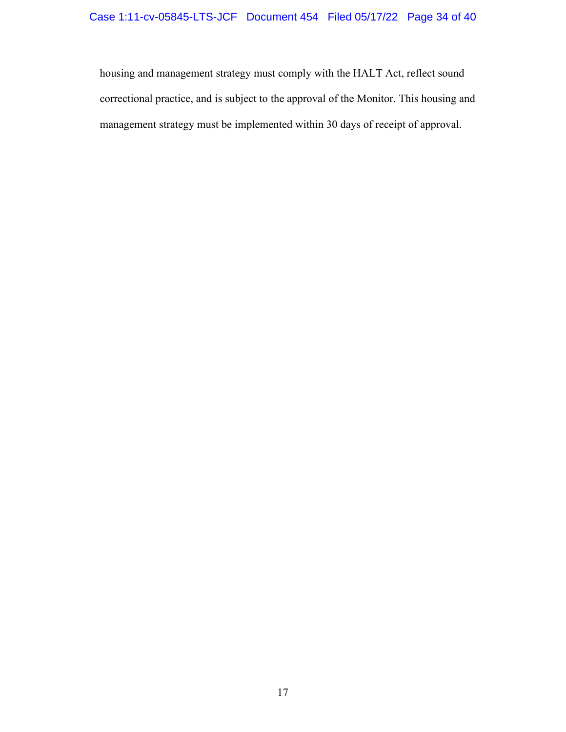housing and management strategy must comply with the HALT Act, reflect sound correctional practice, and is subject to the approval of the Monitor. This housing and management strategy must be implemented within 30 days of receipt of approval.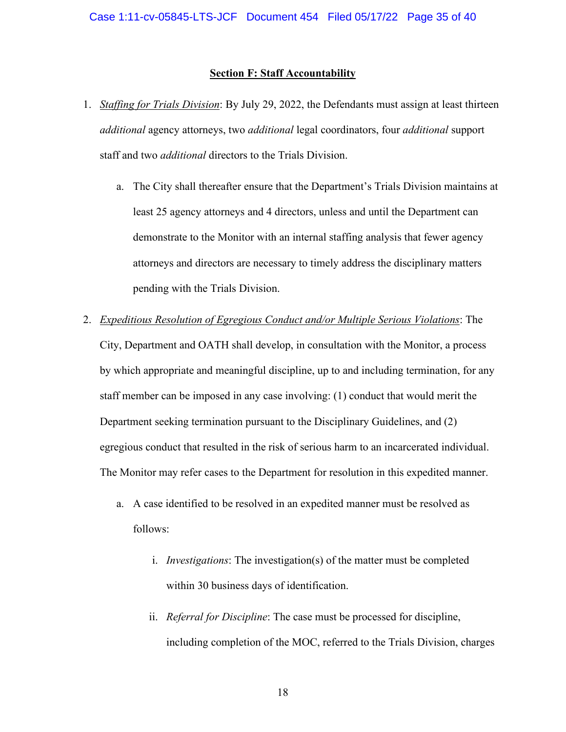#### **Section F: Staff Accountability**

- <span id="page-34-1"></span><span id="page-34-0"></span>1. *Staffing for Trials Division*: By July 29, 2022, the Defendants must assign at least thirteen *additional* agency attorneys, two *additional* legal coordinators, four *additional* support staff and two *additional* directors to the Trials Division.
	- a. The City shall thereafter ensure that the Department's Trials Division maintains at least 25 agency attorneys and 4 directors, unless and until the Department can demonstrate to the Monitor with an internal staffing analysis that fewer agency attorneys and directors are necessary to timely address the disciplinary matters pending with the Trials Division.
- <span id="page-34-2"></span>2. *Expeditious Resolution of Egregious Conduct and/or Multiple Serious Violations*: The City, Department and OATH shall develop, in consultation with the Monitor, a process by which appropriate and meaningful discipline, up to and including termination, for any staff member can be imposed in any case involving: (1) conduct that would merit the Department seeking termination pursuant to the Disciplinary Guidelines, and (2) egregious conduct that resulted in the risk of serious harm to an incarcerated individual. The Monitor may refer cases to the Department for resolution in this expedited manner.
	- a. A case identified to be resolved in an expedited manner must be resolved as follows:
		- i. *Investigations*: The investigation(s) of the matter must be completed within 30 business days of identification.
		- ii. *Referral for Discipline*: The case must be processed for discipline, including completion of the MOC, referred to the Trials Division, charges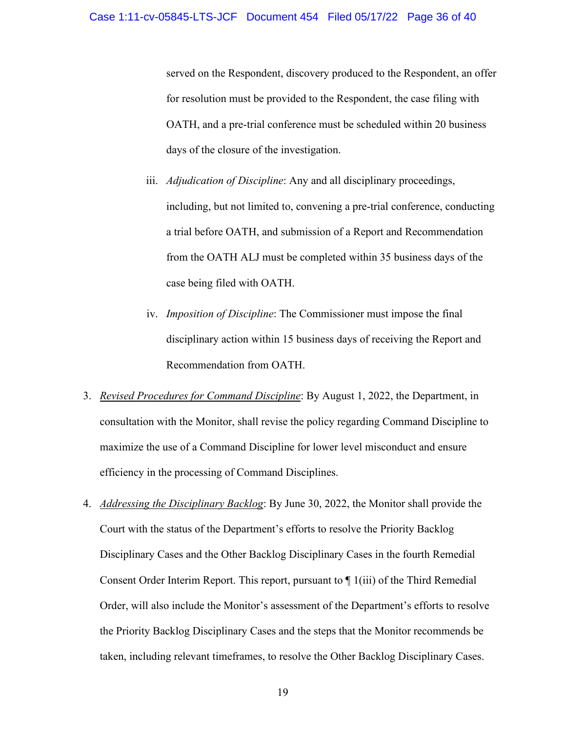served on the Respondent, discovery produced to the Respondent, an offer for resolution must be provided to the Respondent, the case filing with OATH, and a pre-trial conference must be scheduled within 20 business days of the closure of the investigation.

- iii. *Adjudication of Discipline*: Any and all disciplinary proceedings, including, but not limited to, convening a pre-trial conference, conducting a trial before OATH, and submission of a Report and Recommendation from the OATH ALJ must be completed within 35 business days of the case being filed with OATH.
- iv. *Imposition of Discipline*: The Commissioner must impose the final disciplinary action within 15 business days of receiving the Report and Recommendation from OATH.
- <span id="page-35-0"></span>3. *Revised Procedures for Command Discipline*: By August 1, 2022, the Department, in consultation with the Monitor, shall revise the policy regarding Command Discipline to maximize the use of a Command Discipline for lower level misconduct and ensure efficiency in the processing of Command Disciplines.
- <span id="page-35-1"></span>4. *Addressing the Disciplinary Backlog*: By June 30, 2022, the Monitor shall provide the Court with the status of the Department's efforts to resolve the Priority Backlog Disciplinary Cases and the Other Backlog Disciplinary Cases in the fourth Remedial Consent Order Interim Report. This report, pursuant to ¶ 1(iii) of the Third Remedial Order, will also include the Monitor's assessment of the Department's efforts to resolve the Priority Backlog Disciplinary Cases and the steps that the Monitor recommends be taken, including relevant timeframes, to resolve the Other Backlog Disciplinary Cases.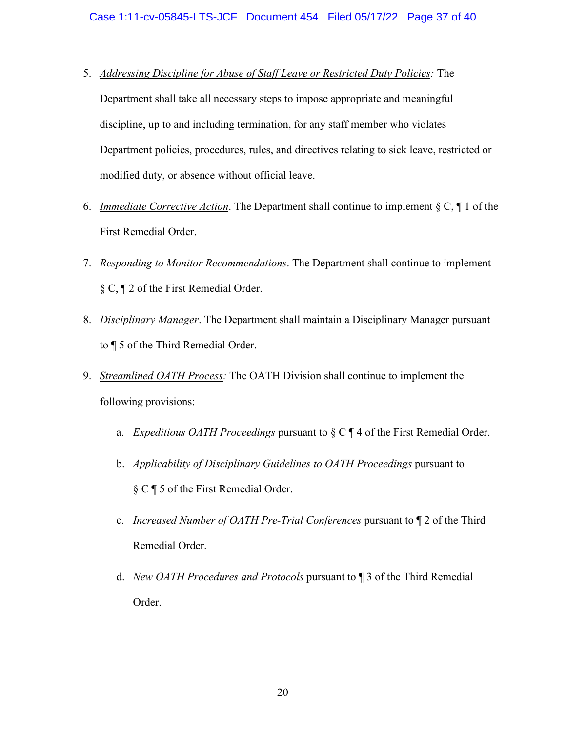- <span id="page-36-0"></span>5. *Addressing Discipline for Abuse of Staff Leave or Restricted Duty Policies:* The Department shall take all necessary steps to impose appropriate and meaningful discipline, up to and including termination, for any staff member who violates Department policies, procedures, rules, and directives relating to sick leave, restricted or modified duty, or absence without official leave.
- <span id="page-36-1"></span>6. *Immediate Corrective Action*. The Department shall continue to implement § C, ¶ 1 of the First Remedial Order.
- <span id="page-36-2"></span>7. *Responding to Monitor Recommendations*. The Department shall continue to implement § C, ¶ 2 of the First Remedial Order.
- <span id="page-36-3"></span>8. *Disciplinary Manager*. The Department shall maintain a Disciplinary Manager pursuant to ¶ 5 of the Third Remedial Order.
- <span id="page-36-4"></span>9. *Streamlined OATH Process:* The OATH Division shall continue to implement the following provisions:
	- a. *Expeditious OATH Proceedings* pursuant to § C ¶ 4 of the First Remedial Order.
	- b. *Applicability of Disciplinary Guidelines to OATH Proceedings* pursuant to § C ¶ 5 of the First Remedial Order.
	- c. *Increased Number of OATH Pre-Trial Conferences* pursuant to ¶ 2 of the Third Remedial Order.
	- d. *New OATH Procedures and Protocols* pursuant to ¶ 3 of the Third Remedial Order.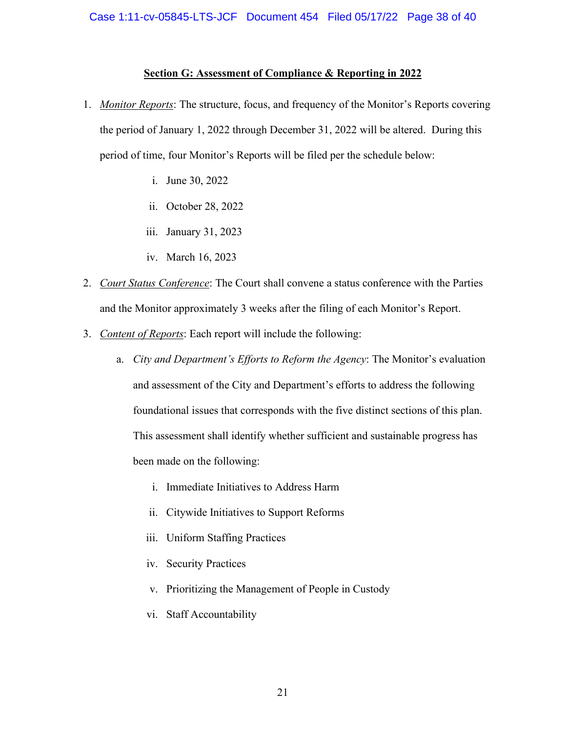### **Section G: Assessment of Compliance & Reporting in 2022**

- <span id="page-37-1"></span><span id="page-37-0"></span>1. *Monitor Reports*: The structure, focus, and frequency of the Monitor's Reports covering the period of January 1, 2022 through December 31, 2022 will be altered. During this period of time, four Monitor's Reports will be filed per the schedule below:
	- i. June 30, 2022
	- ii. October 28, 2022
	- iii. January 31, 2023
	- iv. March 16, 2023
- <span id="page-37-2"></span>2. *Court Status Conference*: The Court shall convene a status conference with the Parties and the Monitor approximately 3 weeks after the filing of each Monitor's Report.
- <span id="page-37-3"></span>3. *Content of Reports*: Each report will include the following:
	- a. *City and Department's Efforts to Reform the Agency*: The Monitor's evaluation and assessment of the City and Department's efforts to address the following foundational issues that corresponds with the five distinct sections of this plan. This assessment shall identify whether sufficient and sustainable progress has been made on the following:
		- i. Immediate Initiatives to Address Harm
		- ii. Citywide Initiatives to Support Reforms
		- iii. Uniform Staffing Practices
		- iv. Security Practices
		- v. Prioritizing the Management of People in Custody
		- vi. Staff Accountability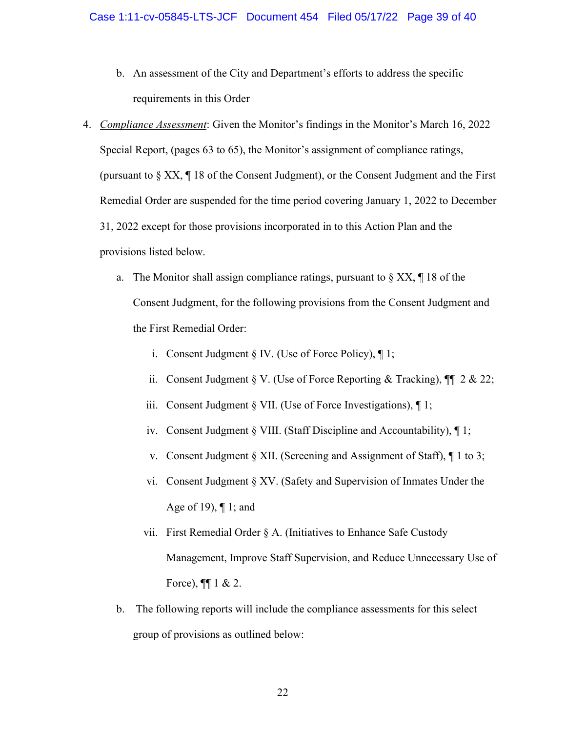- b. An assessment of the City and Department's efforts to address the specific requirements in this Order
- <span id="page-38-0"></span>4. *Compliance Assessment*: Given the Monitor's findings in the Monitor's March 16, 2022 Special Report, (pages 63 to 65), the Monitor's assignment of compliance ratings, (pursuant to  $\S$  XX,  $\P$  18 of the Consent Judgment), or the Consent Judgment and the First Remedial Order are suspended for the time period covering January 1, 2022 to December 31, 2022 except for those provisions incorporated in to this Action Plan and the provisions listed below.
	- a. The Monitor shall assign compliance ratings, pursuant to  $\S XX$ ,  $\P 18$  of the Consent Judgment, for the following provisions from the Consent Judgment and the First Remedial Order:
		- i. Consent Judgment § IV. (Use of Force Policy), ¶ 1;
		- ii. Consent Judgment § V. (Use of Force Reporting & Tracking),  $\P\P$  2 & 22;
		- iii. Consent Judgment § VII. (Use of Force Investigations), ¶ 1;
		- iv. Consent Judgment § VIII. (Staff Discipline and Accountability), ¶ 1;
		- v. Consent Judgment § XII. (Screening and Assignment of Staff), ¶ 1 to 3;
		- vi. Consent Judgment § XV. (Safety and Supervision of Inmates Under the Age of 19), ¶ 1; and
		- vii. First Remedial Order § A. (Initiatives to Enhance Safe Custody Management, Improve Staff Supervision, and Reduce Unnecessary Use of Force),  $\P\P$  1 & 2.
	- b. The following reports will include the compliance assessments for this select group of provisions as outlined below: